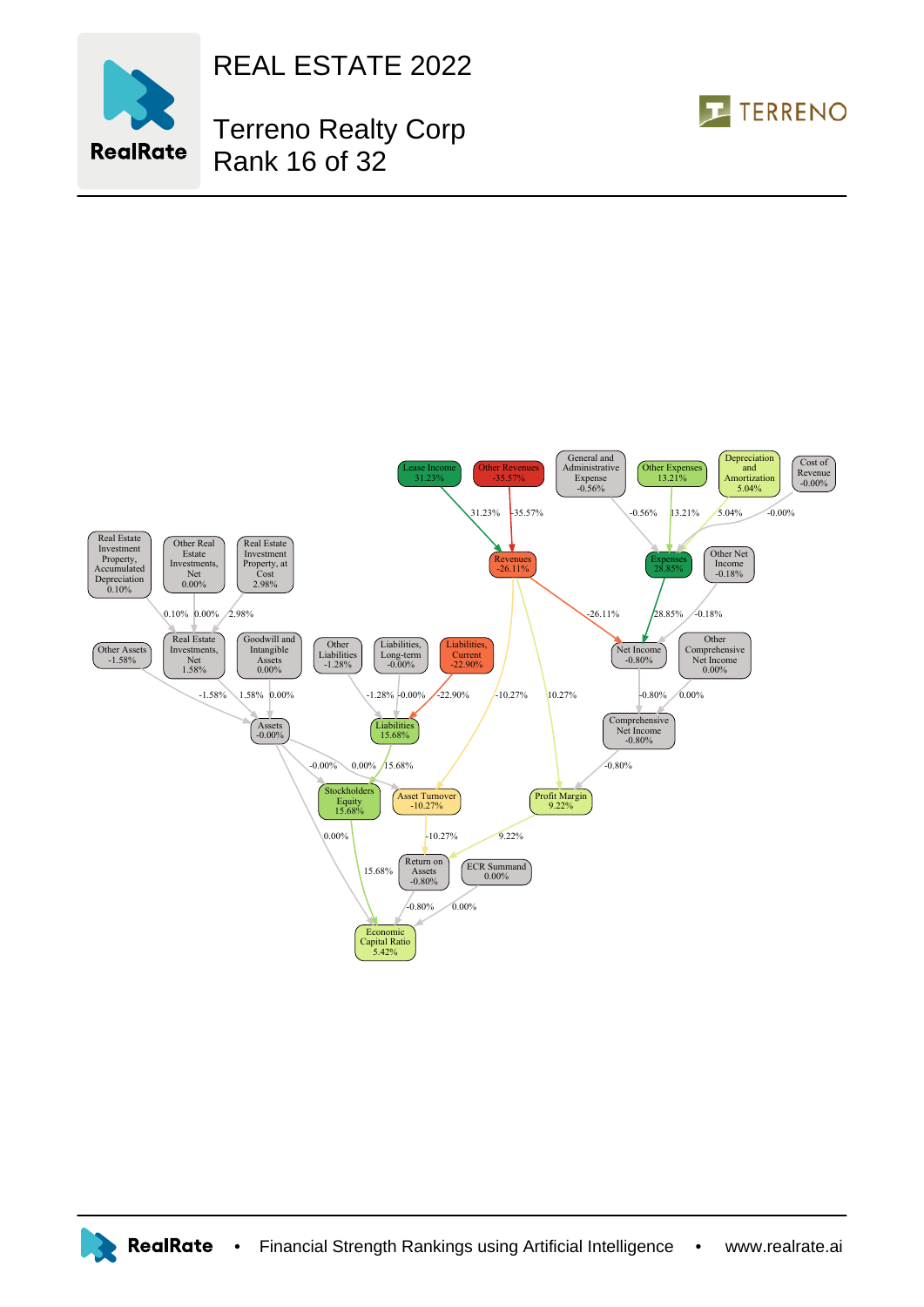

REAL ESTATE 2022

## Terreno Realty Corp Rank 16 of 32